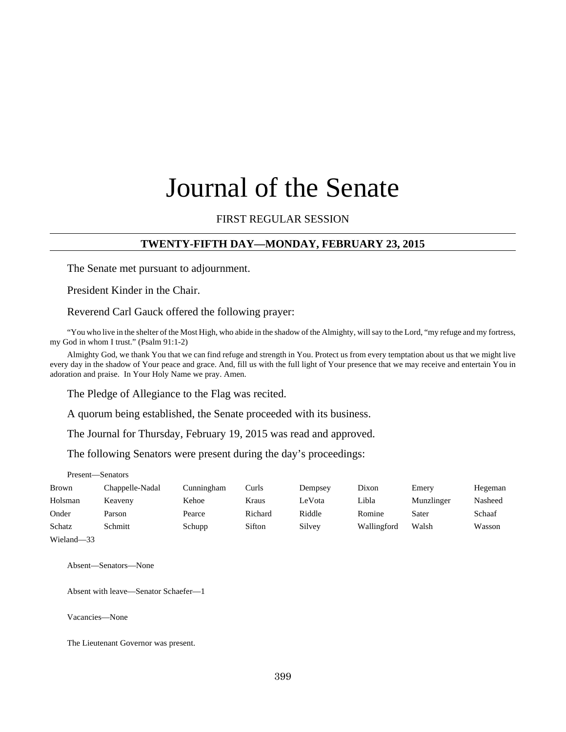# Journal of the Senate

## FIRST REGULAR SESSION

#### **TWENTY-FIFTH DAY—MONDAY, FEBRUARY 23, 2015**

The Senate met pursuant to adjournment.

President Kinder in the Chair.

Reverend Carl Gauck offered the following prayer:

"You who live in the shelter of the Most High, who abide in the shadow of the Almighty, will say to the Lord, "my refuge and my fortress, my God in whom I trust." (Psalm 91:1-2)

Almighty God, we thank You that we can find refuge and strength in You. Protect us from every temptation about us that we might live every day in the shadow of Your peace and grace. And, fill us with the full light of Your presence that we may receive and entertain You in adoration and praise. In Your Holy Name we pray. Amen.

The Pledge of Allegiance to the Flag was recited.

A quorum being established, the Senate proceeded with its business.

The Journal for Thursday, February 19, 2015 was read and approved.

The following Senators were present during the day's proceedings:

Present—Senators

| Brown      | Chappelle-Nadal | Cunningham | Curls   | Dempsey | Dixon       | Emery      | Hegeman |
|------------|-----------------|------------|---------|---------|-------------|------------|---------|
| Holsman    | Keaveny         | Kehoe      | Kraus   | LeVota  | Libla       | Munzlinger | Nasheed |
| Onder      | Parson          | Pearce     | Richard | Riddle  | Romine      | Sater      | Schaaf  |
| Schatz     | Schmitt         | Schupp     | Sifton  | Silvey  | Wallingford | Walsh      | Wasson  |
| Wieland-33 |                 |            |         |         |             |            |         |

Absent—Senators—None

Absent with leave—Senator Schaefer—1

Vacancies—None

The Lieutenant Governor was present.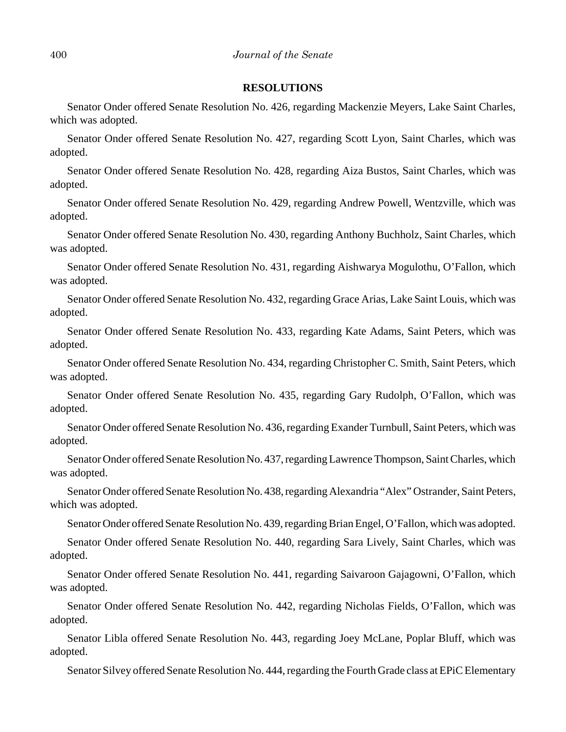#### **RESOLUTIONS**

Senator Onder offered Senate Resolution No. 426, regarding Mackenzie Meyers, Lake Saint Charles, which was adopted.

Senator Onder offered Senate Resolution No. 427, regarding Scott Lyon, Saint Charles, which was adopted.

Senator Onder offered Senate Resolution No. 428, regarding Aiza Bustos, Saint Charles, which was adopted.

Senator Onder offered Senate Resolution No. 429, regarding Andrew Powell, Wentzville, which was adopted.

Senator Onder offered Senate Resolution No. 430, regarding Anthony Buchholz, Saint Charles, which was adopted.

Senator Onder offered Senate Resolution No. 431, regarding Aishwarya Mogulothu, O'Fallon, which was adopted.

Senator Onder offered Senate Resolution No. 432, regarding Grace Arias, Lake Saint Louis, which was adopted.

Senator Onder offered Senate Resolution No. 433, regarding Kate Adams, Saint Peters, which was adopted.

Senator Onder offered Senate Resolution No. 434, regarding Christopher C. Smith, Saint Peters, which was adopted.

Senator Onder offered Senate Resolution No. 435, regarding Gary Rudolph, O'Fallon, which was adopted.

Senator Onder offered Senate Resolution No. 436, regarding Exander Turnbull, Saint Peters, which was adopted.

Senator Onder offered Senate Resolution No. 437, regarding Lawrence Thompson, Saint Charles, which was adopted.

Senator Onder offered Senate Resolution No. 438, regarding Alexandria "Alex" Ostrander, Saint Peters, which was adopted.

Senator Onder offered Senate Resolution No. 439, regarding Brian Engel, O'Fallon, which was adopted.

Senator Onder offered Senate Resolution No. 440, regarding Sara Lively, Saint Charles, which was adopted.

Senator Onder offered Senate Resolution No. 441, regarding Saivaroon Gajagowni, O'Fallon, which was adopted.

Senator Onder offered Senate Resolution No. 442, regarding Nicholas Fields, O'Fallon, which was adopted.

Senator Libla offered Senate Resolution No. 443, regarding Joey McLane, Poplar Bluff, which was adopted.

Senator Silvey offered Senate Resolution No. 444, regarding the Fourth Grade class at EPiC Elementary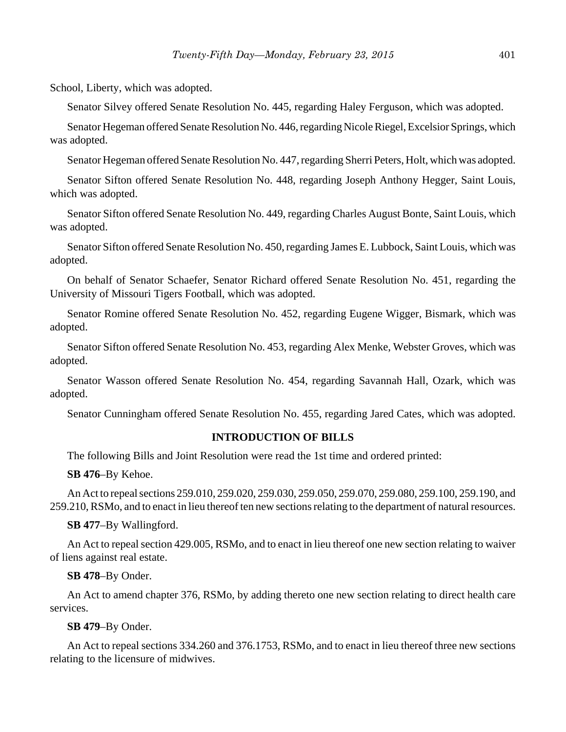School, Liberty, which was adopted.

Senator Silvey offered Senate Resolution No. 445, regarding Haley Ferguson, which was adopted.

Senator Hegeman offered Senate Resolution No. 446, regarding Nicole Riegel, Excelsior Springs, which was adopted.

Senator Hegeman offered Senate Resolution No. 447, regarding Sherri Peters, Holt, which was adopted.

Senator Sifton offered Senate Resolution No. 448, regarding Joseph Anthony Hegger, Saint Louis, which was adopted.

Senator Sifton offered Senate Resolution No. 449, regarding Charles August Bonte, Saint Louis, which was adopted.

Senator Sifton offered Senate Resolution No. 450, regarding James E. Lubbock, Saint Louis, which was adopted.

On behalf of Senator Schaefer, Senator Richard offered Senate Resolution No. 451, regarding the University of Missouri Tigers Football, which was adopted.

Senator Romine offered Senate Resolution No. 452, regarding Eugene Wigger, Bismark, which was adopted.

Senator Sifton offered Senate Resolution No. 453, regarding Alex Menke, Webster Groves, which was adopted.

Senator Wasson offered Senate Resolution No. 454, regarding Savannah Hall, Ozark, which was adopted.

Senator Cunningham offered Senate Resolution No. 455, regarding Jared Cates, which was adopted.

#### **INTRODUCTION OF BILLS**

The following Bills and Joint Resolution were read the 1st time and ordered printed:

**SB 476**–By Kehoe.

An Act to repeal sections 259.010, 259.020, 259.030, 259.050, 259.070, 259.080, 259.100, 259.190, and 259.210, RSMo, and to enact in lieu thereof ten new sections relating to the department of natural resources.

#### **SB 477**–By Wallingford.

An Act to repeal section 429.005, RSMo, and to enact in lieu thereof one new section relating to waiver of liens against real estate.

#### **SB 478**–By Onder.

An Act to amend chapter 376, RSMo, by adding thereto one new section relating to direct health care services.

#### **SB 479**–By Onder.

An Act to repeal sections 334.260 and 376.1753, RSMo, and to enact in lieu thereof three new sections relating to the licensure of midwives.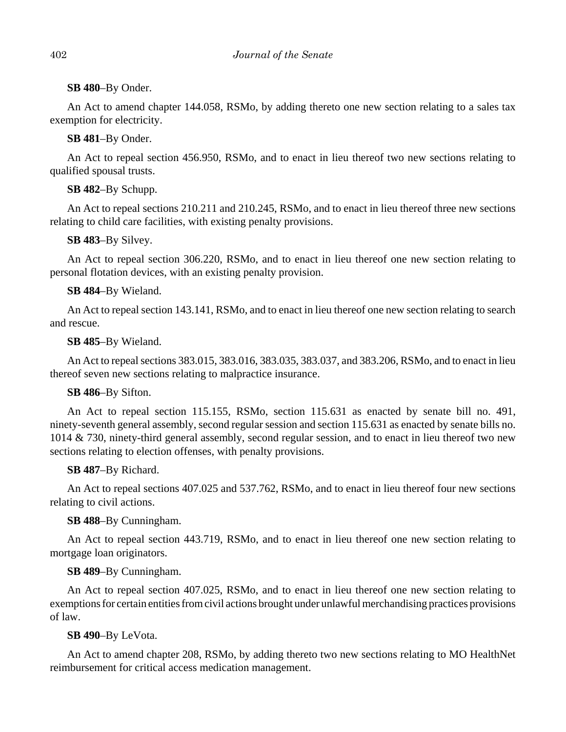## **SB 480**–By Onder.

An Act to amend chapter 144.058, RSMo, by adding thereto one new section relating to a sales tax exemption for electricity.

## **SB 481**–By Onder.

An Act to repeal section 456.950, RSMo, and to enact in lieu thereof two new sections relating to qualified spousal trusts.

# **SB 482**–By Schupp.

An Act to repeal sections 210.211 and 210.245, RSMo, and to enact in lieu thereof three new sections relating to child care facilities, with existing penalty provisions.

# **SB 483**–By Silvey.

An Act to repeal section 306.220, RSMo, and to enact in lieu thereof one new section relating to personal flotation devices, with an existing penalty provision.

# **SB 484**–By Wieland.

An Act to repeal section 143.141, RSMo, and to enact in lieu thereof one new section relating to search and rescue.

## **SB 485**–By Wieland.

An Act to repeal sections 383.015, 383.016, 383.035, 383.037, and 383.206, RSMo, and to enact in lieu thereof seven new sections relating to malpractice insurance.

## **SB 486**–By Sifton.

An Act to repeal section 115.155, RSMo, section 115.631 as enacted by senate bill no. 491, ninety-seventh general assembly, second regular session and section 115.631 as enacted by senate bills no. 1014 & 730, ninety-third general assembly, second regular session, and to enact in lieu thereof two new sections relating to election offenses, with penalty provisions.

# **SB 487**–By Richard.

An Act to repeal sections 407.025 and 537.762, RSMo, and to enact in lieu thereof four new sections relating to civil actions.

# **SB 488**–By Cunningham.

An Act to repeal section 443.719, RSMo, and to enact in lieu thereof one new section relating to mortgage loan originators.

# **SB 489**–By Cunningham.

An Act to repeal section 407.025, RSMo, and to enact in lieu thereof one new section relating to exemptions for certain entities from civil actions brought under unlawful merchandising practices provisions of law.

# **SB 490**–By LeVota.

An Act to amend chapter 208, RSMo, by adding thereto two new sections relating to MO HealthNet reimbursement for critical access medication management.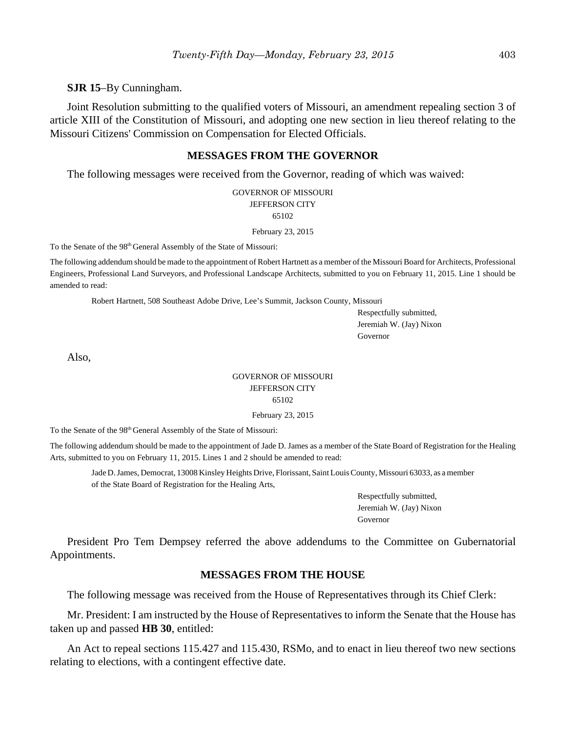**SJR 15**–By Cunningham.

Joint Resolution submitting to the qualified voters of Missouri, an amendment repealing section 3 of article XIII of the Constitution of Missouri, and adopting one new section in lieu thereof relating to the Missouri Citizens' Commission on Compensation for Elected Officials.

#### **MESSAGES FROM THE GOVERNOR**

The following messages were received from the Governor, reading of which was waived:

GOVERNOR OF MISSOURI JEFFERSON CITY 65102

February 23, 2015

To the Senate of the 98<sup>th</sup> General Assembly of the State of Missouri:

The following addendum should be made to the appointment of Robert Hartnett as a member of the Missouri Board for Architects, Professional Engineers, Professional Land Surveyors, and Professional Landscape Architects, submitted to you on February 11, 2015. Line 1 should be amended to read:

Robert Hartnett, 508 Southeast Adobe Drive, Lee's Summit, Jackson County, Missouri

Respectfully submitted, Jeremiah W. (Jay) Nixon Governor

Also,

## GOVERNOR OF MISSOURI JEFFERSON CITY 65102

February 23, 2015

To the Senate of the 98th General Assembly of the State of Missouri:

The following addendum should be made to the appointment of Jade D. James as a member of the State Board of Registration for the Healing Arts, submitted to you on February 11, 2015. Lines 1 and 2 should be amended to read:

Jade D. James, Democrat, 13008 Kinsley Heights Drive, Florissant, Saint Louis County, Missouri 63033, as a member of the State Board of Registration for the Healing Arts,

> Respectfully submitted, Jeremiah W. (Jay) Nixon Governor

President Pro Tem Dempsey referred the above addendums to the Committee on Gubernatorial Appointments.

#### **MESSAGES FROM THE HOUSE**

The following message was received from the House of Representatives through its Chief Clerk:

Mr. President: I am instructed by the House of Representatives to inform the Senate that the House has taken up and passed **HB 30**, entitled:

An Act to repeal sections 115.427 and 115.430, RSMo, and to enact in lieu thereof two new sections relating to elections, with a contingent effective date.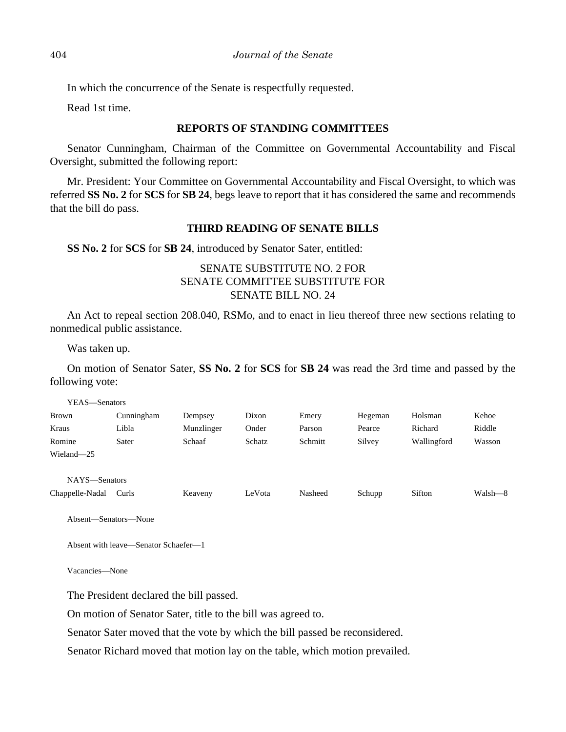In which the concurrence of the Senate is respectfully requested.

Read 1st time.

### **REPORTS OF STANDING COMMITTEES**

Senator Cunningham, Chairman of the Committee on Governmental Accountability and Fiscal Oversight, submitted the following report:

Mr. President: Your Committee on Governmental Accountability and Fiscal Oversight, to which was referred **SS No. 2** for **SCS** for **SB 24**, begs leave to report that it has considered the same and recommends that the bill do pass.

## **THIRD READING OF SENATE BILLS**

#### **SS No. 2** for **SCS** for **SB 24**, introduced by Senator Sater, entitled:

# SENATE SUBSTITUTE NO. 2 FOR SENATE COMMITTEE SUBSTITUTE FOR SENATE BILL NO. 24

An Act to repeal section 208.040, RSMo, and to enact in lieu thereof three new sections relating to nonmedical public assistance.

Was taken up.

On motion of Senator Sater, **SS No. 2** for **SCS** for **SB 24** was read the 3rd time and passed by the following vote:

| YEAS—Senators   |            |            |        |         |         |             |         |
|-----------------|------------|------------|--------|---------|---------|-------------|---------|
| <b>Brown</b>    | Cunningham | Dempsey    | Dixon  | Emery   | Hegeman | Holsman     | Kehoe   |
| Kraus           | Libla      | Munzlinger | Onder  | Parson  | Pearce  | Richard     | Riddle  |
| Romine          | Sater      | Schaaf     | Schatz | Schmitt | Silvey  | Wallingford | Wasson  |
| Wieland-25      |            |            |        |         |         |             |         |
|                 |            |            |        |         |         |             |         |
| NAYS-Senators   |            |            |        |         |         |             |         |
| Chappelle-Nadal | Curls      | Keaveny    | LeVota | Nasheed | Schupp  | Sifton      | Walsh—8 |

Absent—Senators—None

Absent with leave—Senator Schaefer—1

Vacancies—None

The President declared the bill passed.

On motion of Senator Sater, title to the bill was agreed to.

Senator Sater moved that the vote by which the bill passed be reconsidered.

Senator Richard moved that motion lay on the table, which motion prevailed.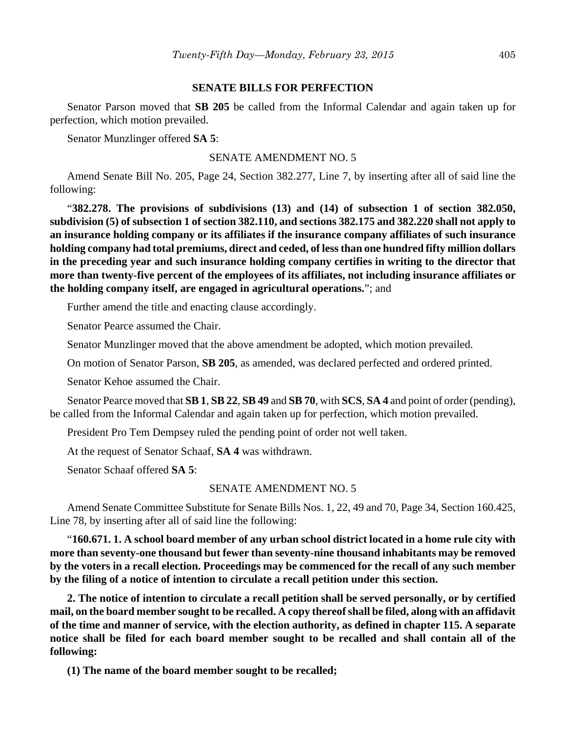#### **SENATE BILLS FOR PERFECTION**

Senator Parson moved that **SB 205** be called from the Informal Calendar and again taken up for perfection, which motion prevailed.

Senator Munzlinger offered **SA 5**:

SENATE AMENDMENT NO. 5

Amend Senate Bill No. 205, Page 24, Section 382.277, Line 7, by inserting after all of said line the following:

"**382.278. The provisions of subdivisions (13) and (14) of subsection 1 of section 382.050, subdivision (5) of subsection 1 of section 382.110, and sections 382.175 and 382.220 shall not apply to an insurance holding company or its affiliates if the insurance company affiliates of such insurance holding company had total premiums, direct and ceded, of less than one hundred fifty million dollars in the preceding year and such insurance holding company certifies in writing to the director that more than twenty-five percent of the employees of its affiliates, not including insurance affiliates or the holding company itself, are engaged in agricultural operations.**"; and

Further amend the title and enacting clause accordingly.

Senator Pearce assumed the Chair.

Senator Munzlinger moved that the above amendment be adopted, which motion prevailed.

On motion of Senator Parson, **SB 205**, as amended, was declared perfected and ordered printed.

Senator Kehoe assumed the Chair.

Senator Pearce moved that **SB 1**, **SB 22**, **SB 49** and **SB 70**, with **SCS**, **SA 4** and point of order (pending), be called from the Informal Calendar and again taken up for perfection, which motion prevailed.

President Pro Tem Dempsey ruled the pending point of order not well taken.

At the request of Senator Schaaf, **SA 4** was withdrawn.

Senator Schaaf offered **SA 5**:

#### SENATE AMENDMENT NO. 5

Amend Senate Committee Substitute for Senate Bills Nos. 1, 22, 49 and 70, Page 34, Section 160.425, Line 78, by inserting after all of said line the following:

"**160.671. 1. A school board member of any urban school district located in a home rule city with more than seventy-one thousand but fewer than seventy-nine thousand inhabitants may be removed by the voters in a recall election. Proceedings may be commenced for the recall of any such member by the filing of a notice of intention to circulate a recall petition under this section.**

**2. The notice of intention to circulate a recall petition shall be served personally, or by certified mail, on the board member sought to be recalled. A copy thereof shall be filed, along with an affidavit of the time and manner of service, with the election authority, as defined in chapter 115. A separate notice shall be filed for each board member sought to be recalled and shall contain all of the following:**

**(1) The name of the board member sought to be recalled;**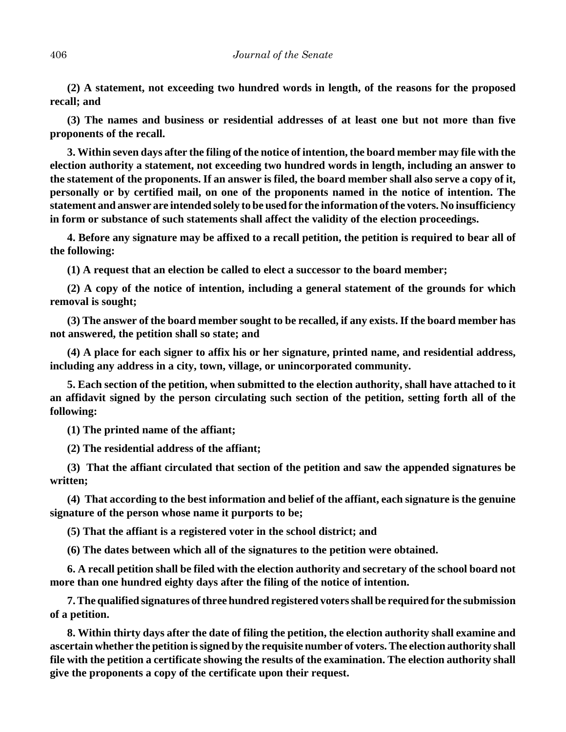**(2) A statement, not exceeding two hundred words in length, of the reasons for the proposed recall; and**

**(3) The names and business or residential addresses of at least one but not more than five proponents of the recall.**

**3. Within seven days after the filing of the notice of intention, the board member may file with the election authority a statement, not exceeding two hundred words in length, including an answer to the statement of the proponents. If an answer is filed, the board member shall also serve a copy of it, personally or by certified mail, on one of the proponents named in the notice of intention. The statement and answer are intended solely to be used for the information of the voters. No insufficiency in form or substance of such statements shall affect the validity of the election proceedings.**

**4. Before any signature may be affixed to a recall petition, the petition is required to bear all of the following:**

**(1) A request that an election be called to elect a successor to the board member;**

**(2) A copy of the notice of intention, including a general statement of the grounds for which removal is sought;**

**(3) The answer of the board member sought to be recalled, if any exists. If the board member has not answered, the petition shall so state; and**

**(4) A place for each signer to affix his or her signature, printed name, and residential address, including any address in a city, town, village, or unincorporated community.**

**5. Each section of the petition, when submitted to the election authority, shall have attached to it an affidavit signed by the person circulating such section of the petition, setting forth all of the following:**

**(1) The printed name of the affiant;**

**(2) The residential address of the affiant;**

**(3) That the affiant circulated that section of the petition and saw the appended signatures be written;**

**(4) That according to the best information and belief of the affiant, each signature is the genuine signature of the person whose name it purports to be;**

**(5) That the affiant is a registered voter in the school district; and**

**(6) The dates between which all of the signatures to the petition were obtained.**

**6. A recall petition shall be filed with the election authority and secretary of the school board not more than one hundred eighty days after the filing of the notice of intention.**

**7. The qualified signatures of three hundred registered voters shall be required for the submission of a petition.**

**8. Within thirty days after the date of filing the petition, the election authority shall examine and ascertain whether the petition is signed by the requisite number of voters. The election authority shall file with the petition a certificate showing the results of the examination. The election authority shall give the proponents a copy of the certificate upon their request.**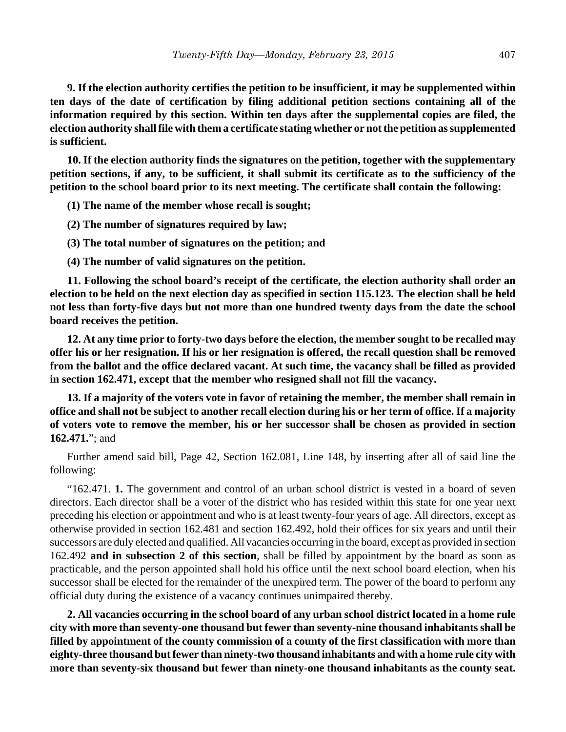**9. If the election authority certifies the petition to be insufficient, it may be supplemented within ten days of the date of certification by filing additional petition sections containing all of the information required by this section. Within ten days after the supplemental copies are filed, the election authority shall file with them a certificate stating whether or not the petition as supplemented is sufficient.**

**10. If the election authority finds the signatures on the petition, together with the supplementary petition sections, if any, to be sufficient, it shall submit its certificate as to the sufficiency of the petition to the school board prior to its next meeting. The certificate shall contain the following:**

**(1) The name of the member whose recall is sought;**

**(2) The number of signatures required by law;**

**(3) The total number of signatures on the petition; and**

**(4) The number of valid signatures on the petition.**

**11. Following the school board's receipt of the certificate, the election authority shall order an election to be held on the next election day as specified in section 115.123. The election shall be held not less than forty-five days but not more than one hundred twenty days from the date the school board receives the petition.**

**12. At any time prior to forty-two days before the election, the member sought to be recalled may offer his or her resignation. If his or her resignation is offered, the recall question shall be removed from the ballot and the office declared vacant. At such time, the vacancy shall be filled as provided in section 162.471, except that the member who resigned shall not fill the vacancy.**

**13. If a majority of the voters vote in favor of retaining the member, the member shall remain in office and shall not be subject to another recall election during his or her term of office. If a majority of voters vote to remove the member, his or her successor shall be chosen as provided in section 162.471.**"; and

Further amend said bill, Page 42, Section 162.081, Line 148, by inserting after all of said line the following:

"162.471. **1.** The government and control of an urban school district is vested in a board of seven directors. Each director shall be a voter of the district who has resided within this state for one year next preceding his election or appointment and who is at least twenty-four years of age. All directors, except as otherwise provided in section 162.481 and section 162.492, hold their offices for six years and until their successors are duly elected and qualified. All vacancies occurring in the board, except as provided in section 162.492 **and in subsection 2 of this section**, shall be filled by appointment by the board as soon as practicable, and the person appointed shall hold his office until the next school board election, when his successor shall be elected for the remainder of the unexpired term. The power of the board to perform any official duty during the existence of a vacancy continues unimpaired thereby.

**2. All vacancies occurring in the school board of any urban school district located in a home rule city with more than seventy-one thousand but fewer than seventy-nine thousand inhabitants shall be filled by appointment of the county commission of a county of the first classification with more than eighty-three thousand but fewer than ninety-two thousand inhabitants and with a home rule city with more than seventy-six thousand but fewer than ninety-one thousand inhabitants as the county seat.**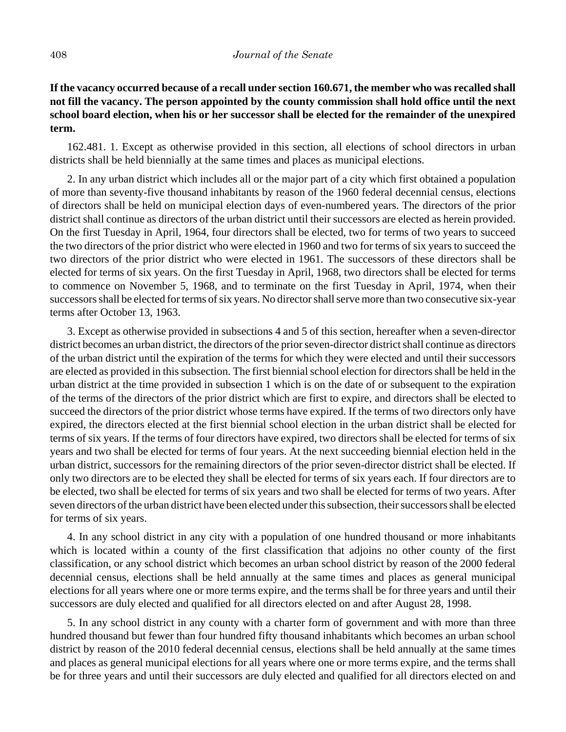# **If the vacancy occurred because of a recall under section 160.671, the member who was recalled shall not fill the vacancy. The person appointed by the county commission shall hold office until the next school board election, when his or her successor shall be elected for the remainder of the unexpired term.**

162.481. 1. Except as otherwise provided in this section, all elections of school directors in urban districts shall be held biennially at the same times and places as municipal elections.

2. In any urban district which includes all or the major part of a city which first obtained a population of more than seventy-five thousand inhabitants by reason of the 1960 federal decennial census, elections of directors shall be held on municipal election days of even-numbered years. The directors of the prior district shall continue as directors of the urban district until their successors are elected as herein provided. On the first Tuesday in April, 1964, four directors shall be elected, two for terms of two years to succeed the two directors of the prior district who were elected in 1960 and two for terms of six years to succeed the two directors of the prior district who were elected in 1961. The successors of these directors shall be elected for terms of six years. On the first Tuesday in April, 1968, two directors shall be elected for terms to commence on November 5, 1968, and to terminate on the first Tuesday in April, 1974, when their successors shall be elected for terms of six years. No director shall serve more than two consecutive six-year terms after October 13, 1963.

3. Except as otherwise provided in subsections 4 and 5 of this section, hereafter when a seven-director district becomes an urban district, the directors of the prior seven-director district shall continue as directors of the urban district until the expiration of the terms for which they were elected and until their successors are elected as provided in this subsection. The first biennial school election for directors shall be held in the urban district at the time provided in subsection 1 which is on the date of or subsequent to the expiration of the terms of the directors of the prior district which are first to expire, and directors shall be elected to succeed the directors of the prior district whose terms have expired. If the terms of two directors only have expired, the directors elected at the first biennial school election in the urban district shall be elected for terms of six years. If the terms of four directors have expired, two directors shall be elected for terms of six years and two shall be elected for terms of four years. At the next succeeding biennial election held in the urban district, successors for the remaining directors of the prior seven-director district shall be elected. If only two directors are to be elected they shall be elected for terms of six years each. If four directors are to be elected, two shall be elected for terms of six years and two shall be elected for terms of two years. After seven directors of the urban district have been elected under this subsection, their successors shall be elected for terms of six years.

4. In any school district in any city with a population of one hundred thousand or more inhabitants which is located within a county of the first classification that adjoins no other county of the first classification, or any school district which becomes an urban school district by reason of the 2000 federal decennial census, elections shall be held annually at the same times and places as general municipal elections for all years where one or more terms expire, and the terms shall be for three years and until their successors are duly elected and qualified for all directors elected on and after August 28, 1998.

5. In any school district in any county with a charter form of government and with more than three hundred thousand but fewer than four hundred fifty thousand inhabitants which becomes an urban school district by reason of the 2010 federal decennial census, elections shall be held annually at the same times and places as general municipal elections for all years where one or more terms expire, and the terms shall be for three years and until their successors are duly elected and qualified for all directors elected on and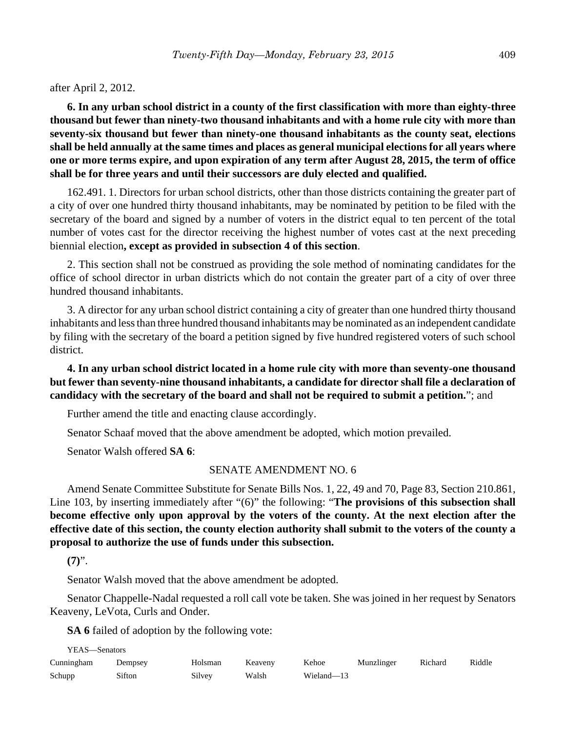after April 2, 2012.

**6. In any urban school district in a county of the first classification with more than eighty-three thousand but fewer than ninety-two thousand inhabitants and with a home rule city with more than seventy-six thousand but fewer than ninety-one thousand inhabitants as the county seat, elections shall be held annually at the same times and places as general municipal elections for all years where one or more terms expire, and upon expiration of any term after August 28, 2015, the term of office shall be for three years and until their successors are duly elected and qualified.**

162.491. 1. Directors for urban school districts, other than those districts containing the greater part of a city of over one hundred thirty thousand inhabitants, may be nominated by petition to be filed with the secretary of the board and signed by a number of voters in the district equal to ten percent of the total number of votes cast for the director receiving the highest number of votes cast at the next preceding biennial election**, except as provided in subsection 4 of this section**.

2. This section shall not be construed as providing the sole method of nominating candidates for the office of school director in urban districts which do not contain the greater part of a city of over three hundred thousand inhabitants.

3. A director for any urban school district containing a city of greater than one hundred thirty thousand inhabitants and less than three hundred thousand inhabitants may be nominated as an independent candidate by filing with the secretary of the board a petition signed by five hundred registered voters of such school district.

**4. In any urban school district located in a home rule city with more than seventy-one thousand but fewer than seventy-nine thousand inhabitants, a candidate for director shall file a declaration of candidacy with the secretary of the board and shall not be required to submit a petition.**"; and

Further amend the title and enacting clause accordingly.

Senator Schaaf moved that the above amendment be adopted, which motion prevailed.

Senator Walsh offered **SA 6**:

#### SENATE AMENDMENT NO. 6

Amend Senate Committee Substitute for Senate Bills Nos. 1, 22, 49 and 70, Page 83, Section 210.861, Line 103, by inserting immediately after "(6)" the following: "**The provisions of this subsection shall become effective only upon approval by the voters of the county. At the next election after the effective date of this section, the county election authority shall submit to the voters of the county a proposal to authorize the use of funds under this subsection.**

**(7)**".

Senator Walsh moved that the above amendment be adopted.

Senator Chappelle-Nadal requested a roll call vote be taken. She was joined in her request by Senators Keaveny, LeVota, Curls and Onder.

**SA 6** failed of adoption by the following vote:

| YEAS—Senators |         |         |         |            |            |         |        |  |
|---------------|---------|---------|---------|------------|------------|---------|--------|--|
| Cunningham    | Dempsey | Holsman | Keaveny | Kehoe      | Munzlinger | Richard | Riddle |  |
| Schupp        | Sifton  | Silvev  | Walsh   | Wieland-13 |            |         |        |  |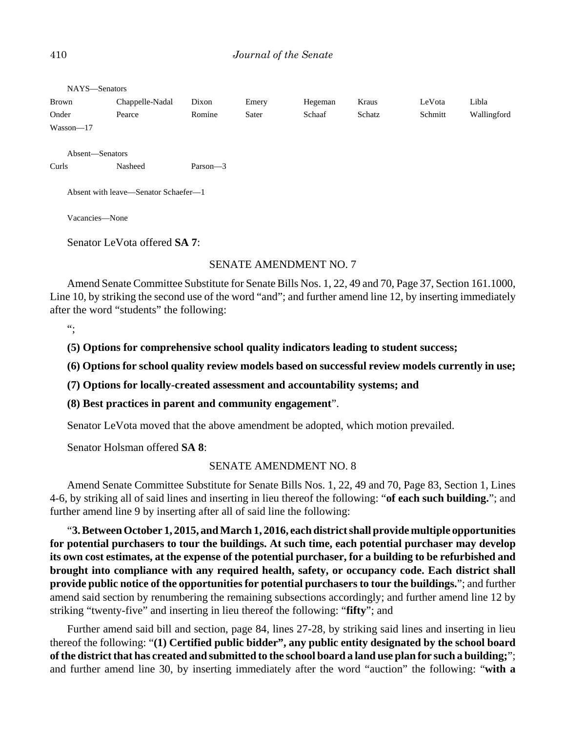#### 410 *Journal of the Senate*

| NAYS-Senators                        |                 |             |       |         |        |         |             |  |
|--------------------------------------|-----------------|-------------|-------|---------|--------|---------|-------------|--|
| Brown                                | Chappelle-Nadal | Dixon       | Emery | Hegeman | Kraus  | LeVota  | Libla       |  |
| Onder                                | Pearce          | Romine      | Sater | Schaaf  | Schatz | Schmitt | Wallingford |  |
| $Wasson - 17$                        |                 |             |       |         |        |         |             |  |
|                                      |                 |             |       |         |        |         |             |  |
|                                      | Absent-Senators |             |       |         |        |         |             |  |
| Curls                                | Nasheed         | Parson $-3$ |       |         |        |         |             |  |
| Absent with leave—Senator Schaefer—1 |                 |             |       |         |        |         |             |  |
| Vacancies-None                       |                 |             |       |         |        |         |             |  |
| Senator LeVota offered <b>SA 7</b> : |                 |             |       |         |        |         |             |  |

#### SENATE AMENDMENT NO. 7

Amend Senate Committee Substitute for Senate Bills Nos. 1, 22, 49 and 70, Page 37, Section 161.1000, Line 10, by striking the second use of the word "and"; and further amend line 12, by inserting immediately after the word "students" the following:

 $"$ 

**(5) Options for comprehensive school quality indicators leading to student success;**

**(6) Options for school quality review models based on successful review models currently in use;**

**(7) Options for locally-created assessment and accountability systems; and**

**(8) Best practices in parent and community engagement**".

Senator LeVota moved that the above amendment be adopted, which motion prevailed.

Senator Holsman offered **SA 8**:

#### SENATE AMENDMENT NO. 8

Amend Senate Committee Substitute for Senate Bills Nos. 1, 22, 49 and 70, Page 83, Section 1, Lines 4-6, by striking all of said lines and inserting in lieu thereof the following: "**of each such building.**"; and further amend line 9 by inserting after all of said line the following:

"**3. Between October 1, 2015, and March 1, 2016, each district shall provide multiple opportunities for potential purchasers to tour the buildings. At such time, each potential purchaser may develop its own cost estimates, at the expense of the potential purchaser, for a building to be refurbished and brought into compliance with any required health, safety, or occupancy code. Each district shall provide public notice of the opportunities for potential purchasers to tour the buildings.**"; and further amend said section by renumbering the remaining subsections accordingly; and further amend line 12 by striking "twenty-five" and inserting in lieu thereof the following: "**fifty**"; and

Further amend said bill and section, page 84, lines 27-28, by striking said lines and inserting in lieu thereof the following: "**(1) Certified public bidder", any public entity designated by the school board of the district that has created and submitted to the school board a land use plan for such a building;**"; and further amend line 30, by inserting immediately after the word "auction" the following: "**with a**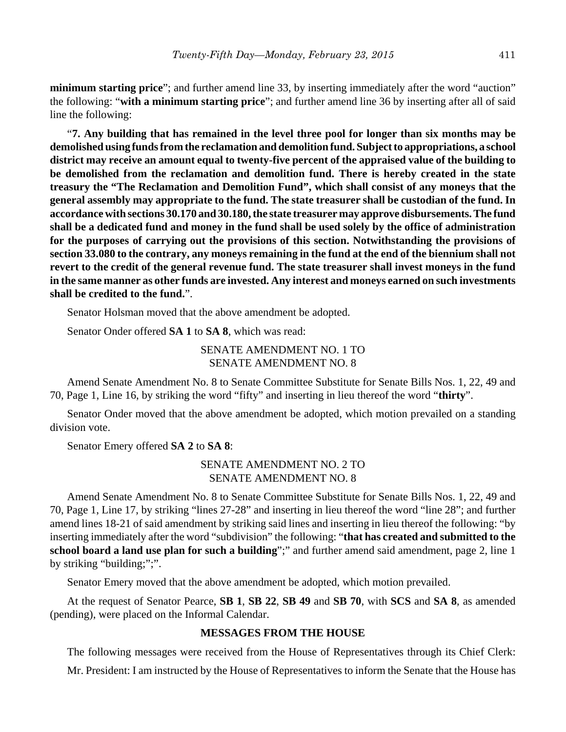**minimum starting price**"; and further amend line 33, by inserting immediately after the word "auction" the following: "**with a minimum starting price**"; and further amend line 36 by inserting after all of said line the following:

"**7. Any building that has remained in the level three pool for longer than six months may be demolished using funds from the reclamation and demolition fund. Subject to appropriations, a school district may receive an amount equal to twenty-five percent of the appraised value of the building to be demolished from the reclamation and demolition fund. There is hereby created in the state treasury the "The Reclamation and Demolition Fund", which shall consist of any moneys that the general assembly may appropriate to the fund. The state treasurer shall be custodian of the fund. In accordance with sections 30.170 and 30.180, the state treasurer may approve disbursements. The fund shall be a dedicated fund and money in the fund shall be used solely by the office of administration for the purposes of carrying out the provisions of this section. Notwithstanding the provisions of section 33.080 to the contrary, any moneys remaining in the fund at the end of the biennium shall not revert to the credit of the general revenue fund. The state treasurer shall invest moneys in the fund in the same manner as other funds are invested. Any interest and moneys earned on such investments shall be credited to the fund.**".

Senator Holsman moved that the above amendment be adopted.

Senator Onder offered **SA 1** to **SA 8**, which was read:

## SENATE AMENDMENT NO. 1 TO SENATE AMENDMENT NO. 8

Amend Senate Amendment No. 8 to Senate Committee Substitute for Senate Bills Nos. 1, 22, 49 and 70, Page 1, Line 16, by striking the word "fifty" and inserting in lieu thereof the word "**thirty**".

Senator Onder moved that the above amendment be adopted, which motion prevailed on a standing division vote.

Senator Emery offered **SA 2** to **SA 8**:

## SENATE AMENDMENT NO. 2 TO SENATE AMENDMENT NO. 8

Amend Senate Amendment No. 8 to Senate Committee Substitute for Senate Bills Nos. 1, 22, 49 and 70, Page 1, Line 17, by striking "lines 27-28" and inserting in lieu thereof the word "line 28"; and further amend lines 18-21 of said amendment by striking said lines and inserting in lieu thereof the following: "by inserting immediately after the word "subdivision" the following: "**that has created and submitted to the school board a land use plan for such a building**";" and further amend said amendment, page 2, line 1 by striking "building;";".

Senator Emery moved that the above amendment be adopted, which motion prevailed.

At the request of Senator Pearce, **SB 1**, **SB 22**, **SB 49** and **SB 70**, with **SCS** and **SA 8**, as amended (pending), were placed on the Informal Calendar.

#### **MESSAGES FROM THE HOUSE**

The following messages were received from the House of Representatives through its Chief Clerk:

Mr. President: I am instructed by the House of Representatives to inform the Senate that the House has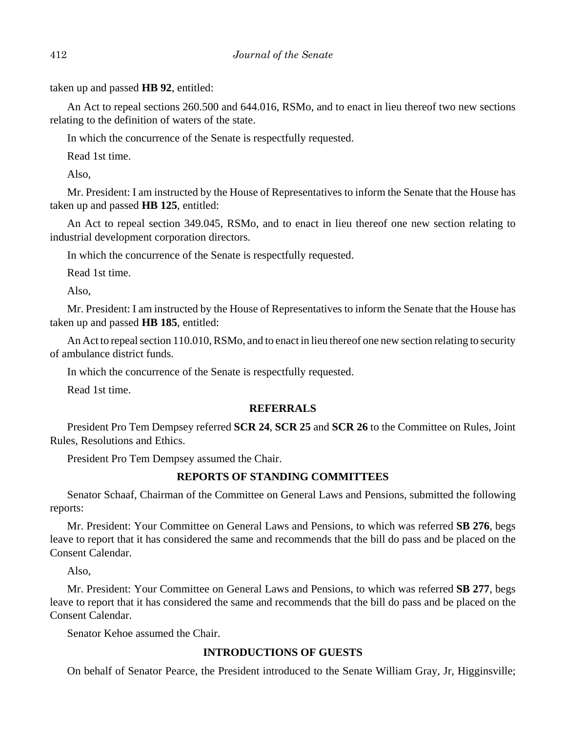taken up and passed **HB 92**, entitled:

An Act to repeal sections 260.500 and 644.016, RSMo, and to enact in lieu thereof two new sections relating to the definition of waters of the state.

In which the concurrence of the Senate is respectfully requested.

Read 1st time.

Also,

Mr. President: I am instructed by the House of Representatives to inform the Senate that the House has taken up and passed **HB 125**, entitled:

An Act to repeal section 349.045, RSMo, and to enact in lieu thereof one new section relating to industrial development corporation directors.

In which the concurrence of the Senate is respectfully requested.

Read 1st time.

Also,

Mr. President: I am instructed by the House of Representatives to inform the Senate that the House has taken up and passed **HB 185**, entitled:

An Act to repeal section 110.010, RSMo, and to enact in lieu thereof one new section relating to security of ambulance district funds.

In which the concurrence of the Senate is respectfully requested.

Read 1st time.

# **REFERRALS**

President Pro Tem Dempsey referred **SCR 24**, **SCR 25** and **SCR 26** to the Committee on Rules, Joint Rules, Resolutions and Ethics.

President Pro Tem Dempsey assumed the Chair.

# **REPORTS OF STANDING COMMITTEES**

Senator Schaaf, Chairman of the Committee on General Laws and Pensions, submitted the following reports:

Mr. President: Your Committee on General Laws and Pensions, to which was referred **SB 276**, begs leave to report that it has considered the same and recommends that the bill do pass and be placed on the Consent Calendar.

Also,

Mr. President: Your Committee on General Laws and Pensions, to which was referred **SB 277**, begs leave to report that it has considered the same and recommends that the bill do pass and be placed on the Consent Calendar.

Senator Kehoe assumed the Chair.

# **INTRODUCTIONS OF GUESTS**

On behalf of Senator Pearce, the President introduced to the Senate William Gray, Jr, Higginsville;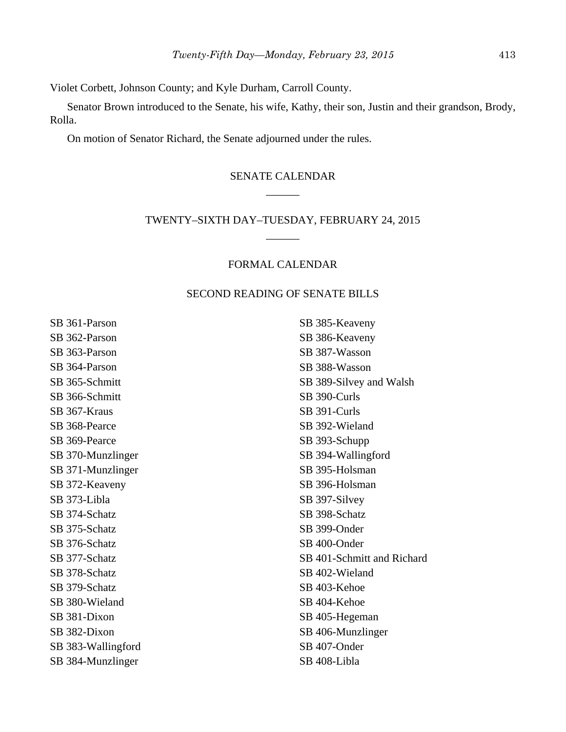Violet Corbett, Johnson County; and Kyle Durham, Carroll County.

Senator Brown introduced to the Senate, his wife, Kathy, their son, Justin and their grandson, Brody, Rolla.

On motion of Senator Richard, the Senate adjourned under the rules.

# SENATE CALENDAR \_\_\_\_\_\_

# TWENTY–SIXTH DAY–TUESDAY, FEBRUARY 24, 2015 \_\_\_\_\_\_

## FORMAL CALENDAR

#### SECOND READING OF SENATE BILLS

SB 361-Parson SB 362-Parson SB 363-Parson SB 364-Parson SB 365-Schmitt SB 366-Schmitt SB 367-Kraus SB 368-Pearce SB 369-Pearce SB 370-Munzlinger SB 371-Munzlinger SB 372-Keaveny SB 373-Libla SB 374-Schatz SB 375-Schatz SB 376-Schatz SB 377-Schatz SB 378-Schatz SB 379-Schatz SB 380-Wieland SB 381-Dixon SB 382-Dixon SB 383-Wallingford SB 384-Munzlinger

SB 385-Keaveny SB 386-Keaveny SB 387-Wasson SB 388-Wasson SB 389-Silvey and Walsh SB 390-Curls SB 391-Curls SB 392-Wieland SB 393-Schupp SB 394-Wallingford SB 395-Holsman SB 396-Holsman SB 397-Silvey SB 398-Schatz SB 399-Onder SB 400-Onder SB 401-Schmitt and Richard SB 402-Wieland SB 403-Kehoe SB 404-Kehoe SB 405-Hegeman SB 406-Munzlinger SB 407-Onder SB 408-Libla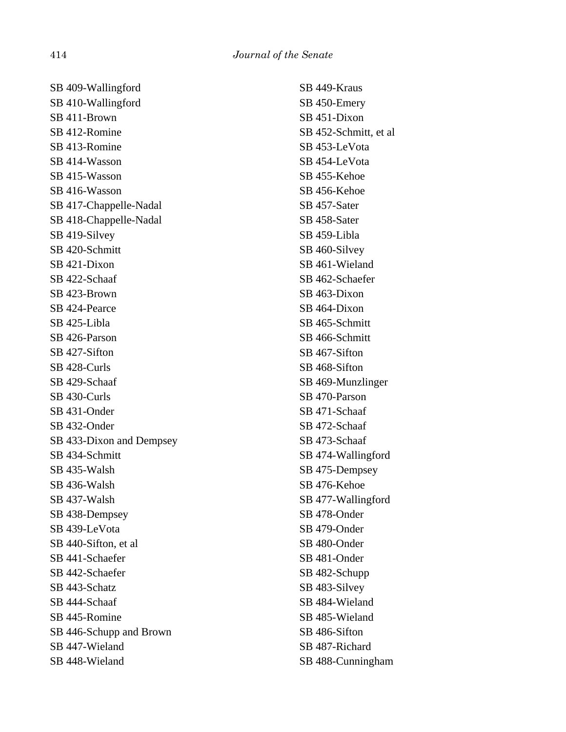SB 409-Wallingford SB 410-Wallingford SB 411-Brown SB 412-Romine SB 413-Romine SB 414-Wasson SB 415-Wasson SB 416-Wasson SB 417-Chappelle-Nadal SB 418-Chappelle-Nadal SB 419-Silvey SB 420-Schmitt SB 421-Dixon SB 422-Schaaf SB 423-Brown SB 424-Pearce SB 425-Libla SB 426-Parson SB 427-Sifton SB 428-Curls SB 429-Schaaf SB 430-Curls SB 431-Onder SB 432-Onder SB 433-Dixon and Dempsey SB 434-Schmitt SB 435-Walsh SB 436-Walsh SB 437-Walsh SB 438-Dempsey SB 439-LeVota SB 440-Sifton, et al SB 441-Schaefer SB 442-Schaefer SB 443-Schatz SB 444-Schaaf SB 445-Romine SB 446-Schupp and Brown SB 447-Wieland SB 448-Wieland

SB 449-Kraus SB 450-Emery SB 451-Dixon SB 452-Schmitt, et al SB 453-LeVota SB 454-LeVota SB 455-Kehoe SB 456-Kehoe SB 457-Sater SB 458-Sater SB 459-Libla SB 460-Silvey SB 461-Wieland SB 462-Schaefer SB 463-Dixon SB 464-Dixon SB 465-Schmitt SB 466-Schmitt SB 467-Sifton SB 468-Sifton SB 469-Munzlinger SB 470-Parson SB 471-Schaaf SB 472-Schaaf SB 473-Schaaf SB 474-Wallingford SB 475-Dempsey SB 476-Kehoe SB 477-Wallingford SB 478-Onder SB 479-Onder SB 480-Onder SB 481-Onder SB 482-Schupp SB 483-Silvey SB 484-Wieland SB 485-Wieland SB 486-Sifton SB 487-Richard SB 488-Cunningham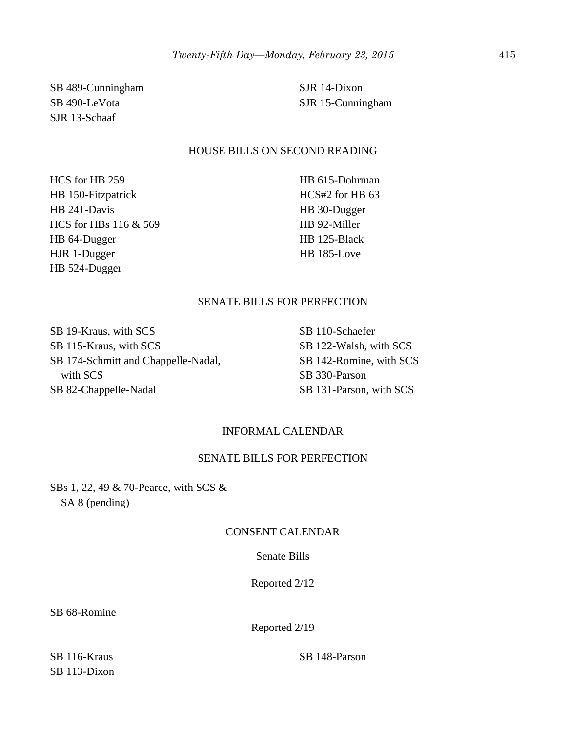SB 489-Cunningham SB 490-LeVota SJR 13-Schaaf

SJR 14-Dixon SJR 15-Cunningham

#### HOUSE BILLS ON SECOND READING

HCS for HB 259 HB 150-Fitzpatrick HB 241-Davis HCS for HBs 116 & 569 HB 64-Dugger HJR 1-Dugger HB 524-Dugger

HB 615-Dohrman HCS#2 for HB 63 HB 30-Dugger HB 92-Miller HB 125-Black HB 185-Love

## SENATE BILLS FOR PERFECTION

SB 19-Kraus, with SCS SB 115-Kraus, with SCS SB 174-Schmitt and Chappelle-Nadal, with SCS SB 82-Chappelle-Nadal

SB 110-Schaefer SB 122-Walsh, with SCS SB 142-Romine, with SCS SB 330-Parson SB 131-Parson, with SCS

## INFORMAL CALENDAR

## SENATE BILLS FOR PERFECTION

SBs 1, 22, 49 & 70-Pearce, with SCS & SA 8 (pending)

## CONSENT CALENDAR

#### Senate Bills

Reported 2/12

SB 68-Romine

Reported 2/19

SB 116-Kraus SB 113-Dixon SB 148-Parson